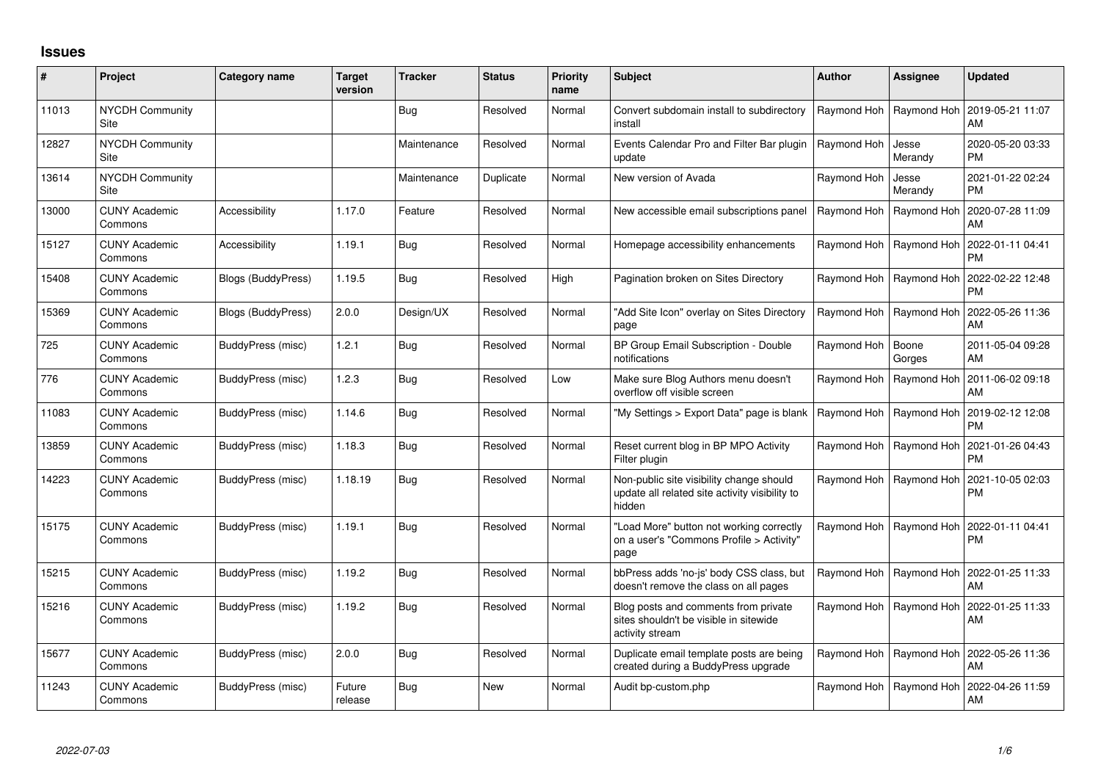## **Issues**

| ∦     | Project                         | Category name            | <b>Target</b><br>version | <b>Tracker</b> | <b>Status</b> | <b>Priority</b><br>name | <b>Subject</b>                                                                                       | <b>Author</b>             | <b>Assignee</b>           | <b>Updated</b>                |
|-------|---------------------------------|--------------------------|--------------------------|----------------|---------------|-------------------------|------------------------------------------------------------------------------------------------------|---------------------------|---------------------------|-------------------------------|
| 11013 | <b>NYCDH Community</b><br>Site  |                          |                          | Bug            | Resolved      | Normal                  | Convert subdomain install to subdirectory<br>install                                                 | Raymond Hoh               | Raymond Hoh               | 2019-05-21 11:07<br>AM        |
| 12827 | <b>NYCDH Community</b><br>Site  |                          |                          | Maintenance    | Resolved      | Normal                  | Events Calendar Pro and Filter Bar plugin<br>update                                                  | Raymond Hoh               | Jesse<br>Merandy          | 2020-05-20 03:33<br><b>PM</b> |
| 13614 | <b>NYCDH Community</b><br>Site  |                          |                          | Maintenance    | Duplicate     | Normal                  | New version of Avada                                                                                 | Raymond Hoh               | Jesse<br>Merandy          | 2021-01-22 02:24<br><b>PM</b> |
| 13000 | <b>CUNY Academic</b><br>Commons | Accessibility            | 1.17.0                   | Feature        | Resolved      | Normal                  | New accessible email subscriptions panel                                                             |                           | Raymond Hoh   Raymond Hoh | 2020-07-28 11:09<br>AM        |
| 15127 | <b>CUNY Academic</b><br>Commons | Accessibility            | 1.19.1                   | <b>Bug</b>     | Resolved      | Normal                  | Homepage accessibility enhancements                                                                  |                           | Raymond Hoh   Raymond Hoh | 2022-01-11 04:41<br><b>PM</b> |
| 15408 | <b>CUNY Academic</b><br>Commons | Blogs (BuddyPress)       | 1.19.5                   | Bug            | Resolved      | High                    | Pagination broken on Sites Directory                                                                 |                           | Raymond Hoh   Raymond Hoh | 2022-02-22 12:48<br><b>PM</b> |
| 15369 | <b>CUNY Academic</b><br>Commons | Blogs (BuddyPress)       | 2.0.0                    | Design/UX      | Resolved      | Normal                  | 'Add Site Icon" overlay on Sites Directory<br>page                                                   |                           | Raymond Hoh   Raymond Hoh | 2022-05-26 11:36<br>AM        |
| 725   | <b>CUNY Academic</b><br>Commons | BuddyPress (misc)        | 1.2.1                    | Bug            | Resolved      | Normal                  | BP Group Email Subscription - Double<br>notifications                                                | Raymond Hoh               | Boone<br>Gorges           | 2011-05-04 09:28<br>AM        |
| 776   | <b>CUNY Academic</b><br>Commons | BuddyPress (misc)        | 1.2.3                    | Bug            | Resolved      | Low                     | Make sure Blog Authors menu doesn't<br>overflow off visible screen                                   | Raymond Hoh               | Raymond Hoh               | 2011-06-02 09:18<br>AM        |
| 11083 | <b>CUNY Academic</b><br>Commons | <b>BuddyPress</b> (misc) | 1.14.6                   | Bug            | Resolved      | Normal                  | "My Settings > Export Data" page is blank                                                            | Raymond Hoh   Raymond Hoh |                           | 2019-02-12 12:08<br><b>PM</b> |
| 13859 | <b>CUNY Academic</b><br>Commons | BuddyPress (misc)        | 1.18.3                   | Bug            | Resolved      | Normal                  | Reset current blog in BP MPO Activity<br>Filter plugin                                               |                           | Raymond Hoh   Raymond Hoh | 2021-01-26 04:43<br><b>PM</b> |
| 14223 | <b>CUNY Academic</b><br>Commons | BuddyPress (misc)        | 1.18.19                  | <b>Bug</b>     | Resolved      | Normal                  | Non-public site visibility change should<br>update all related site activity visibility to<br>hidden |                           | Raymond Hoh   Raymond Hoh | 2021-10-05 02:03<br><b>PM</b> |
| 15175 | <b>CUNY Academic</b><br>Commons | BuddyPress (misc)        | 1.19.1                   | <b>Bug</b>     | Resolved      | Normal                  | "Load More" button not working correctly<br>on a user's "Commons Profile > Activity"<br>page         |                           | Raymond Hoh   Raymond Hoh | 2022-01-11 04:41<br>PM        |
| 15215 | <b>CUNY Academic</b><br>Commons | BuddyPress (misc)        | 1.19.2                   | Bug            | Resolved      | Normal                  | bbPress adds 'no-js' body CSS class, but<br>doesn't remove the class on all pages                    |                           | Raymond Hoh   Raymond Hoh | 2022-01-25 11:33<br>AM        |
| 15216 | <b>CUNY Academic</b><br>Commons | BuddyPress (misc)        | 1.19.2                   | Bug            | Resolved      | Normal                  | Blog posts and comments from private<br>sites shouldn't be visible in sitewide<br>activity stream    |                           | Raymond Hoh   Raymond Hoh | 2022-01-25 11:33<br>AM        |
| 15677 | <b>CUNY Academic</b><br>Commons | BuddyPress (misc)        | 2.0.0                    | <b>Bug</b>     | Resolved      | Normal                  | Duplicate email template posts are being<br>created during a BuddyPress upgrade                      |                           | Raymond Hoh   Raymond Hoh | 2022-05-26 11:36<br>AM        |
| 11243 | <b>CUNY Academic</b><br>Commons | BuddyPress (misc)        | Future<br>release        | Bug            | <b>New</b>    | Normal                  | Audit bp-custom.php                                                                                  |                           | Raymond Hoh   Raymond Hoh | 2022-04-26 11:59<br>AM        |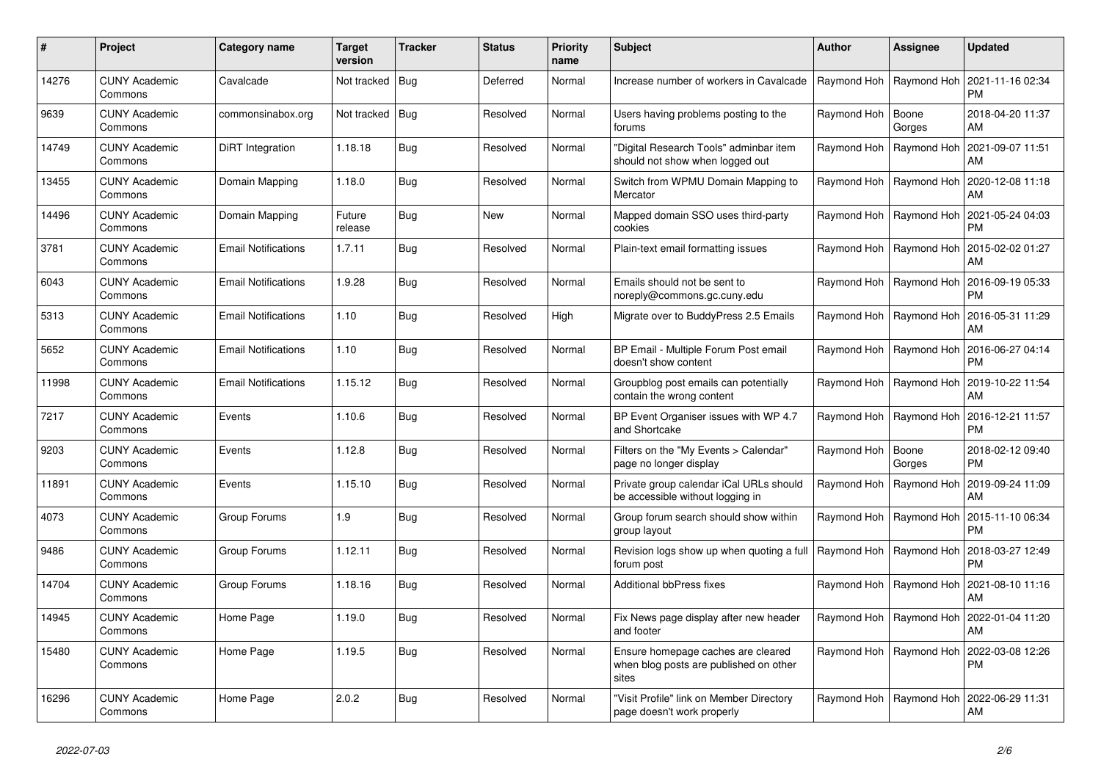| #     | Project                         | Category name              | <b>Target</b><br>version | Tracker    | <b>Status</b> | <b>Priority</b><br>name | <b>Subject</b>                                                                        | <b>Author</b>             | Assignee                  | <b>Updated</b>                                     |
|-------|---------------------------------|----------------------------|--------------------------|------------|---------------|-------------------------|---------------------------------------------------------------------------------------|---------------------------|---------------------------|----------------------------------------------------|
| 14276 | <b>CUNY Academic</b><br>Commons | Cavalcade                  | Not tracked   Bug        |            | Deferred      | Normal                  | Increase number of workers in Cavalcade                                               | Raymond Hoh   Raymond Hoh |                           | 2021-11-16 02:34<br><b>PM</b>                      |
| 9639  | <b>CUNY Academic</b><br>Commons | commonsinabox.org          | Not tracked   Bug        |            | Resolved      | Normal                  | Users having problems posting to the<br>forums                                        | Raymond Hoh               | Boone<br>Gorges           | 2018-04-20 11:37<br>AM                             |
| 14749 | <b>CUNY Academic</b><br>Commons | DiRT Integration           | 1.18.18                  | Bug        | Resolved      | Normal                  | 'Digital Research Tools" adminbar item<br>should not show when logged out             | Raymond Hoh               | Raymond Hoh               | 2021-09-07 11:51<br>AM                             |
| 13455 | <b>CUNY Academic</b><br>Commons | Domain Mapping             | 1.18.0                   | Bug        | Resolved      | Normal                  | Switch from WPMU Domain Mapping to<br>Mercator                                        |                           | Raymond Hoh   Raymond Hoh | 2020-12-08 11:18<br>AM                             |
| 14496 | <b>CUNY Academic</b><br>Commons | Domain Mapping             | Future<br>release        | Bug        | <b>New</b>    | Normal                  | Mapped domain SSO uses third-party<br>cookies                                         |                           | Raymond Hoh   Raymond Hoh | 2021-05-24 04:03<br><b>PM</b>                      |
| 3781  | <b>CUNY Academic</b><br>Commons | <b>Email Notifications</b> | 1.7.11                   | Bug        | Resolved      | Normal                  | Plain-text email formatting issues                                                    |                           | Raymond Hoh   Raymond Hoh | 2015-02-02 01:27<br>AM                             |
| 6043  | <b>CUNY Academic</b><br>Commons | <b>Email Notifications</b> | 1.9.28                   | <b>Bug</b> | Resolved      | Normal                  | Emails should not be sent to<br>noreply@commons.gc.cuny.edu                           |                           | Raymond Hoh   Raymond Hoh | 2016-09-19 05:33<br><b>PM</b>                      |
| 5313  | <b>CUNY Academic</b><br>Commons | <b>Email Notifications</b> | 1.10                     | Bug        | Resolved      | High                    | Migrate over to BuddyPress 2.5 Emails                                                 |                           | Raymond Hoh   Raymond Hoh | 2016-05-31 11:29<br>AM                             |
| 5652  | CUNY Academic<br>Commons        | <b>Email Notifications</b> | 1.10                     | Bug        | Resolved      | Normal                  | BP Email - Multiple Forum Post email<br>doesn't show content                          | Raymond Hoh               | Raymond Hoh               | 2016-06-27 04:14<br><b>PM</b>                      |
| 11998 | <b>CUNY Academic</b><br>Commons | <b>Email Notifications</b> | 1.15.12                  | Bug        | Resolved      | Normal                  | Groupblog post emails can potentially<br>contain the wrong content                    |                           |                           | Raymond Hoh   Raymond Hoh   2019-10-22 11:54<br>AM |
| 7217  | <b>CUNY Academic</b><br>Commons | Events                     | 1.10.6                   | Bug        | Resolved      | Normal                  | BP Event Organiser issues with WP 4.7<br>and Shortcake                                |                           | Raymond Hoh   Raymond Hoh | 2016-12-21 11:57<br><b>PM</b>                      |
| 9203  | <b>CUNY Academic</b><br>Commons | Events                     | 1.12.8                   | Bug        | Resolved      | Normal                  | Filters on the "My Events > Calendar"<br>page no longer display                       | Raymond Hoh               | Boone<br>Gorges           | 2018-02-12 09:40<br><b>PM</b>                      |
| 11891 | <b>CUNY Academic</b><br>Commons | Events                     | 1.15.10                  | Bug        | Resolved      | Normal                  | Private group calendar iCal URLs should<br>be accessible without logging in           |                           | Raymond Hoh   Raymond Hoh | 2019-09-24 11:09<br>AM                             |
| 4073  | <b>CUNY Academic</b><br>Commons | Group Forums               | 1.9                      | Bug        | Resolved      | Normal                  | Group forum search should show within<br>group layout                                 | Raymond Hoh   Raymond Hoh |                           | 2015-11-10 06:34<br><b>PM</b>                      |
| 9486  | <b>CUNY Academic</b><br>Commons | Group Forums               | 1.12.11                  | Bug        | Resolved      | Normal                  | Revision logs show up when quoting a full<br>forum post                               | Raymond Hoh   Raymond Hoh |                           | 2018-03-27 12:49<br><b>PM</b>                      |
| 14704 | <b>CUNY Academic</b><br>Commons | Group Forums               | 1.18.16                  | Bug        | Resolved      | Normal                  | <b>Additional bbPress fixes</b>                                                       | Raymond Hoh               | Raymond Hoh               | 2021-08-10 11:16<br>AM                             |
| 14945 | <b>CUNY Academic</b><br>Commons | Home Page                  | 1.19.0                   | Bug        | Resolved      | Normal                  | Fix News page display after new header<br>and footer                                  | Raymond Hoh   Raymond Hoh |                           | 2022-01-04 11:20<br>AM                             |
| 15480 | <b>CUNY Academic</b><br>Commons | Home Page                  | 1.19.5                   | Bug        | Resolved      | Normal                  | Ensure homepage caches are cleared<br>when blog posts are published on other<br>sites | Raymond Hoh               | Raymond Hoh               | 2022-03-08 12:26<br><b>PM</b>                      |
| 16296 | CUNY Academic<br>Commons        | Home Page                  | 2.0.2                    | Bug        | Resolved      | Normal                  | 'Visit Profile" link on Member Directory<br>page doesn't work properly                |                           | Raymond Hoh   Raymond Hoh | 2022-06-29 11:31<br>AM                             |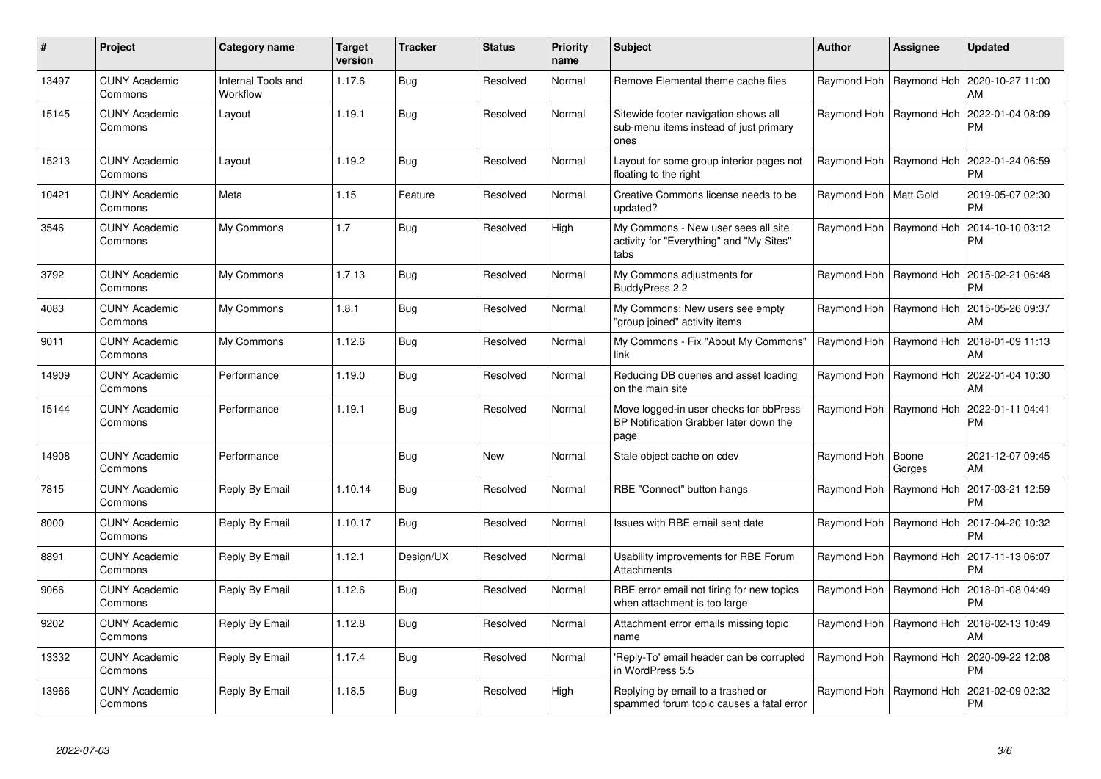| #     | Project                         | Category name                  | <b>Target</b><br>version | <b>Tracker</b> | <b>Status</b> | Priority<br>name | <b>Subject</b>                                                                           | <b>Author</b>             | Assignee                  | Updated                       |
|-------|---------------------------------|--------------------------------|--------------------------|----------------|---------------|------------------|------------------------------------------------------------------------------------------|---------------------------|---------------------------|-------------------------------|
| 13497 | <b>CUNY Academic</b><br>Commons | Internal Tools and<br>Workflow | 1.17.6                   | <b>Bug</b>     | Resolved      | Normal           | Remove Elemental theme cache files                                                       |                           | Raymond Hoh   Raymond Hoh | 2020-10-27 11:00<br>AM        |
| 15145 | <b>CUNY Academic</b><br>Commons | Layout                         | 1.19.1                   | <b>Bug</b>     | Resolved      | Normal           | Sitewide footer navigation shows all<br>sub-menu items instead of just primary<br>ones   | Raymond Hoh               | Raymond Hoh               | 2022-01-04 08:09<br>PM        |
| 15213 | <b>CUNY Academic</b><br>Commons | Layout                         | 1.19.2                   | <b>Bug</b>     | Resolved      | Normal           | Layout for some group interior pages not<br>floating to the right                        |                           | Raymond Hoh   Raymond Hoh | 2022-01-24 06:59<br>PM        |
| 10421 | <b>CUNY Academic</b><br>Commons | Meta                           | 1.15                     | Feature        | Resolved      | Normal           | Creative Commons license needs to be<br>updated?                                         | Raymond Hoh   Matt Gold   |                           | 2019-05-07 02:30<br>РM        |
| 3546  | <b>CUNY Academic</b><br>Commons | My Commons                     | 1.7                      | <b>Bug</b>     | Resolved      | High             | My Commons - New user sees all site<br>activity for "Everything" and "My Sites"<br>tabs  |                           | Raymond Hoh   Raymond Hoh | 2014-10-10 03:12<br>PM        |
| 3792  | <b>CUNY Academic</b><br>Commons | My Commons                     | 1.7.13                   | Bug            | Resolved      | Normal           | My Commons adjustments for<br>BuddyPress 2.2                                             | Raymond Hoh               | Raymond Hoh               | 2015-02-21 06:48<br>РM        |
| 4083  | <b>CUNY Academic</b><br>Commons | My Commons                     | 1.8.1                    | Bug            | Resolved      | Normal           | My Commons: New users see empty<br>'group joined" activity items                         | Raymond Hoh               | Raymond Hoh               | 2015-05-26 09:37<br>AM        |
| 9011  | <b>CUNY Academic</b><br>Commons | My Commons                     | 1.12.6                   | <b>Bug</b>     | Resolved      | Normal           | My Commons - Fix "About My Commons"<br>link                                              | Raymond Hoh   Raymond Hoh |                           | 2018-01-09 11:13<br>AM        |
| 14909 | <b>CUNY Academic</b><br>Commons | Performance                    | 1.19.0                   | Bug            | Resolved      | Normal           | Reducing DB queries and asset loading<br>on the main site                                | Raymond Hoh               | Raymond Hoh               | 2022-01-04 10:30<br>AM        |
| 15144 | <b>CUNY Academic</b><br>Commons | Performance                    | 1.19.1                   | Bug            | Resolved      | Normal           | Move logged-in user checks for bbPress<br>BP Notification Grabber later down the<br>page | Raymond Hoh               | Raymond Hoh               | 2022-01-11 04:41<br>PM        |
| 14908 | <b>CUNY Academic</b><br>Commons | Performance                    |                          | <b>Bug</b>     | New           | Normal           | Stale object cache on cdev                                                               | Raymond Hoh               | Boone<br>Gorges           | 2021-12-07 09:45<br><b>AM</b> |
| 7815  | <b>CUNY Academic</b><br>Commons | Reply By Email                 | 1.10.14                  | Bug            | Resolved      | Normal           | RBE "Connect" button hangs                                                               | Raymond Hoh               | Raymond Hoh               | 2017-03-21 12:59<br>PM        |
| 8000  | <b>CUNY Academic</b><br>Commons | Reply By Email                 | 1.10.17                  | Bug            | Resolved      | Normal           | Issues with RBE email sent date                                                          |                           | Raymond Hoh   Raymond Hoh | 2017-04-20 10:32<br>PM        |
| 8891  | <b>CUNY Academic</b><br>Commons | Reply By Email                 | 1.12.1                   | Design/UX      | Resolved      | Normal           | Usability improvements for RBE Forum<br>Attachments                                      | Raymond Hoh               | Raymond Hoh               | 2017-11-13 06:07<br>PM        |
| 9066  | <b>CUNY Academic</b><br>Commons | Reply By Email                 | 1.12.6                   | Bug            | Resolved      | Normal           | RBE error email not firing for new topics<br>when attachment is too large                | Raymond Hoh               | Raymond Hoh               | 2018-01-08 04:49<br>PM        |
| 9202  | <b>CUNY Academic</b><br>Commons | Reply By Email                 | 1.12.8                   | <b>Bug</b>     | Resolved      | Normal           | Attachment error emails missing topic<br>name                                            | Raymond Hoh               | Raymond Hoh               | 2018-02-13 10:49<br>AM        |
| 13332 | <b>CUNY Academic</b><br>Commons | Reply By Email                 | 1.17.4                   | <b>Bug</b>     | Resolved      | Normal           | 'Reply-To' email header can be corrupted<br>in WordPress 5.5                             | Raymond Hoh               | Raymond Hoh               | 2020-09-22 12:08<br>PM        |
| 13966 | CUNY Academic<br>Commons        | Reply By Email                 | 1.18.5                   | Bug            | Resolved      | High             | Replying by email to a trashed or<br>spammed forum topic causes a fatal error            | Raymond Hoh               | Raymond Hoh               | 2021-02-09 02:32<br>PM        |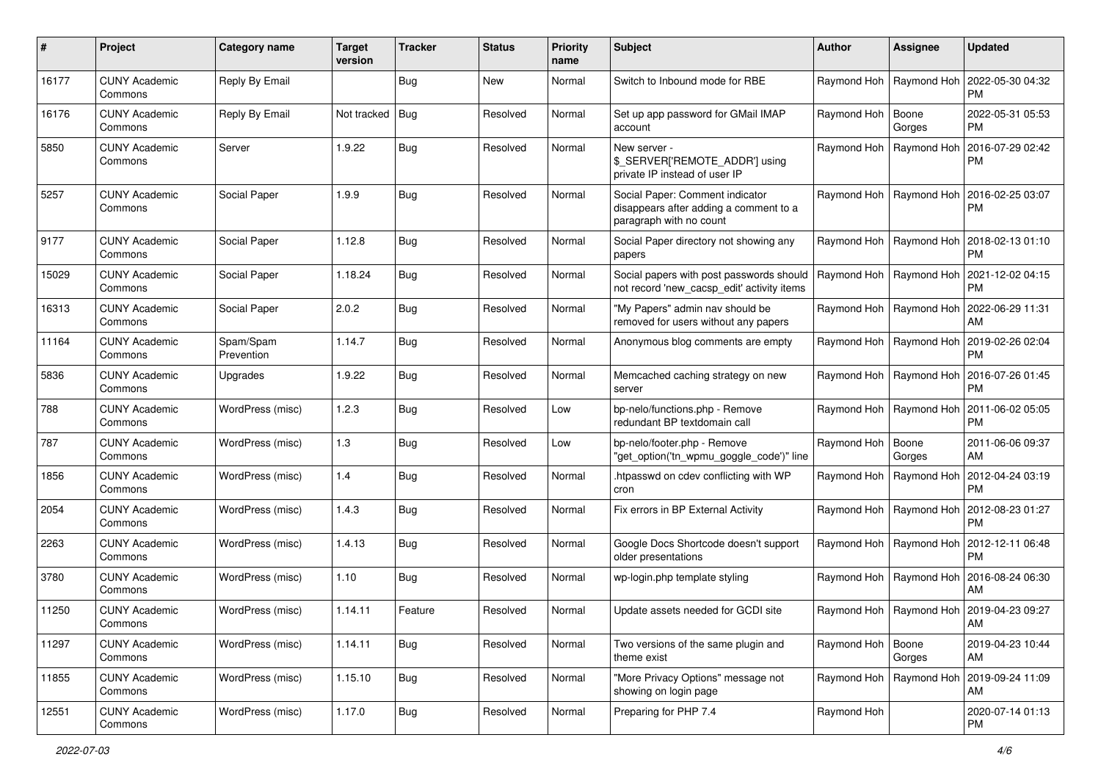| #     | Project                         | Category name           | <b>Target</b><br>version | <b>Tracker</b> | <b>Status</b> | <b>Priority</b><br>name | <b>Subject</b>                                                                                       | <b>Author</b>             | <b>Assignee</b>           | <b>Updated</b>                                     |
|-------|---------------------------------|-------------------------|--------------------------|----------------|---------------|-------------------------|------------------------------------------------------------------------------------------------------|---------------------------|---------------------------|----------------------------------------------------|
| 16177 | <b>CUNY Academic</b><br>Commons | Reply By Email          |                          | <b>Bug</b>     | New           | Normal                  | Switch to Inbound mode for RBE                                                                       | Raymond Hoh               | Raymond Hoh               | 2022-05-30 04:32<br>PM                             |
| 16176 | <b>CUNY Academic</b><br>Commons | Reply By Email          | Not tracked              | <b>Bug</b>     | Resolved      | Normal                  | Set up app password for GMail IMAP<br>account                                                        | Raymond Hoh   Boone       | Gorges                    | 2022-05-31 05:53<br>РM                             |
| 5850  | <b>CUNY Academic</b><br>Commons | Server                  | 1.9.22                   | <b>Bug</b>     | Resolved      | Normal                  | New server -<br>\$_SERVER['REMOTE_ADDR'] using<br>private IP instead of user IP                      | Raymond Hoh               | Raymond Hoh               | 2016-07-29 02:42<br><b>PM</b>                      |
| 5257  | <b>CUNY Academic</b><br>Commons | Social Paper            | 1.9.9                    | Bug            | Resolved      | Normal                  | Social Paper: Comment indicator<br>disappears after adding a comment to a<br>paragraph with no count |                           | Raymond Hoh   Raymond Hoh | 2016-02-25 03:07<br>РM                             |
| 9177  | <b>CUNY Academic</b><br>Commons | Social Paper            | 1.12.8                   | <b>Bug</b>     | Resolved      | Normal                  | Social Paper directory not showing any<br>papers                                                     | Raymond Hoh               | Raymond Hoh               | 2018-02-13 01:10<br>РM                             |
| 15029 | <b>CUNY Academic</b><br>Commons | Social Paper            | 1.18.24                  | Bug            | Resolved      | Normal                  | Social papers with post passwords should<br>not record 'new_cacsp_edit' activity items               | Raymond Hoh   Raymond Hoh |                           | 2021-12-02 04:15<br>РM                             |
| 16313 | <b>CUNY Academic</b><br>Commons | Social Paper            | 2.0.2                    | <b>Bug</b>     | Resolved      | Normal                  | "My Papers" admin nav should be<br>removed for users without any papers                              |                           | Raymond Hoh   Raymond Hoh | 2022-06-29 11:31<br>AM                             |
| 11164 | <b>CUNY Academic</b><br>Commons | Spam/Spam<br>Prevention | 1.14.7                   | Bug            | Resolved      | Normal                  | Anonymous blog comments are empty                                                                    |                           | Raymond Hoh   Raymond Hoh | 2019-02-26 02:04<br><b>PM</b>                      |
| 5836  | <b>CUNY Academic</b><br>Commons | Upgrades                | 1.9.22                   | Bug            | Resolved      | Normal                  | Memcached caching strategy on new<br>server                                                          |                           | Raymond Hoh   Raymond Hoh | 2016-07-26 01:45<br>РM                             |
| 788   | <b>CUNY Academic</b><br>Commons | WordPress (misc)        | 1.2.3                    | <b>Bug</b>     | Resolved      | Low                     | bp-nelo/functions.php - Remove<br>redundant BP textdomain call                                       | Raymond Hoh               | Raymond Hoh               | 2011-06-02 05:05<br>РM                             |
| 787   | <b>CUNY Academic</b><br>Commons | WordPress (misc)        | 1.3                      | <b>Bug</b>     | Resolved      | Low                     | bp-nelo/footer.php - Remove<br>"get_option('tn_wpmu_goggle_code')" line                              | Raymond Hoh   Boone       | Gorges                    | 2011-06-06 09:37<br><b>AM</b>                      |
| 1856  | <b>CUNY Academic</b><br>Commons | WordPress (misc)        | 1.4                      | <b>Bug</b>     | Resolved      | Normal                  | htpasswd on cdev conflicting with WP<br>cron                                                         | Raymond Hoh               | Raymond Hoh               | 2012-04-24 03:19<br>РM                             |
| 2054  | <b>CUNY Academic</b><br>Commons | WordPress (misc)        | 1.4.3                    | Bug            | Resolved      | Normal                  | Fix errors in BP External Activity                                                                   |                           | Raymond Hoh   Raymond Hoh | 2012-08-23 01:27<br><b>PM</b>                      |
| 2263  | <b>CUNY Academic</b><br>Commons | WordPress (misc)        | 1.4.13                   | <b>Bug</b>     | Resolved      | Normal                  | Google Docs Shortcode doesn't support<br>older presentations                                         |                           | Raymond Hoh   Raymond Hoh | 2012-12-11 06:48<br>PM                             |
| 3780  | <b>CUNY Academic</b><br>Commons | WordPress (misc)        | 1.10                     | Bug            | Resolved      | Normal                  | wp-login.php template styling                                                                        |                           | Raymond Hoh   Raymond Hoh | 2016-08-24 06:30<br>AM                             |
| 11250 | <b>CUNY Academic</b><br>Commons | WordPress (misc)        | 1.14.11                  | Feature        | Resolved      | Normal                  | Update assets needed for GCDI site                                                                   |                           |                           | Raymond Hoh   Raymond Hoh   2019-04-23 09:27<br>AM |
| 11297 | <b>CUNY Academic</b><br>Commons | WordPress (misc)        | 1.14.11                  | <b>Bug</b>     | Resolved      | Normal                  | Two versions of the same plugin and<br>theme exist                                                   | Raymond Hoh   Boone       | Gorges                    | 2019-04-23 10:44<br>AM                             |
| 11855 | <b>CUNY Academic</b><br>Commons | WordPress (misc)        | 1.15.10                  | <b>Bug</b>     | Resolved      | Normal                  | "More Privacy Options" message not<br>showing on login page                                          |                           | Raymond Hoh   Raymond Hoh | 2019-09-24 11:09<br>AM                             |
| 12551 | <b>CUNY Academic</b><br>Commons | WordPress (misc)        | 1.17.0                   | <b>Bug</b>     | Resolved      | Normal                  | Preparing for PHP 7.4                                                                                | Raymond Hoh               |                           | 2020-07-14 01:13<br><b>PM</b>                      |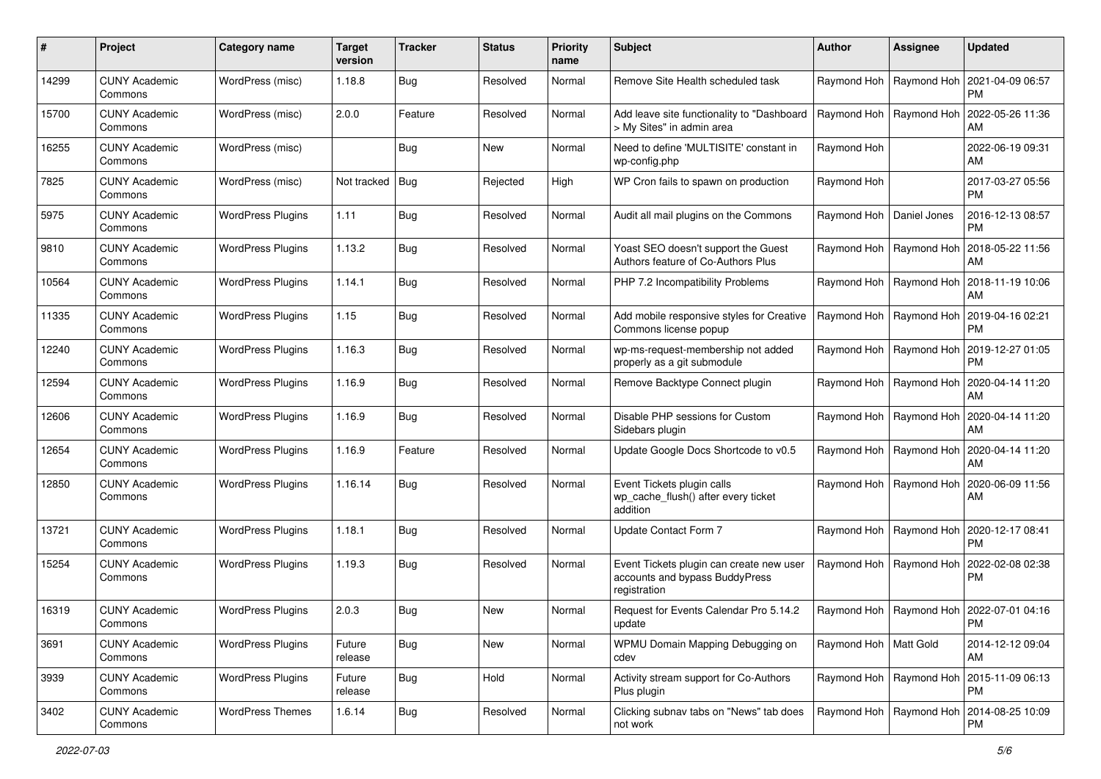| #     | Project                         | <b>Category name</b>     | <b>Target</b><br>version | <b>Tracker</b> | <b>Status</b> | <b>Priority</b><br>name | Subject                                                                                    | <b>Author</b>              | <b>Assignee</b>           | <b>Updated</b>                                            |
|-------|---------------------------------|--------------------------|--------------------------|----------------|---------------|-------------------------|--------------------------------------------------------------------------------------------|----------------------------|---------------------------|-----------------------------------------------------------|
| 14299 | <b>CUNY Academic</b><br>Commons | WordPress (misc)         | 1.18.8                   | <b>Bug</b>     | Resolved      | Normal                  | Remove Site Health scheduled task                                                          |                            | Raymond Hoh   Raymond Hoh | 2021-04-09 06:57<br><b>PM</b>                             |
| 15700 | <b>CUNY Academic</b><br>Commons | WordPress (misc)         | 2.0.0                    | Feature        | Resolved      | Normal                  | Add leave site functionality to "Dashboard<br>> My Sites" in admin area                    |                            | Raymond Hoh   Raymond Hoh | 2022-05-26 11:36<br>AM                                    |
| 16255 | <b>CUNY Academic</b><br>Commons | WordPress (misc)         |                          | <b>Bug</b>     | New           | Normal                  | Need to define 'MULTISITE' constant in<br>wp-config.php                                    | Raymond Hoh                |                           | 2022-06-19 09:31<br>AM                                    |
| 7825  | <b>CUNY Academic</b><br>Commons | WordPress (misc)         | Not tracked   Bug        |                | Rejected      | High                    | WP Cron fails to spawn on production                                                       | Raymond Hoh                |                           | 2017-03-27 05:56<br><b>PM</b>                             |
| 5975  | <b>CUNY Academic</b><br>Commons | <b>WordPress Plugins</b> | 1.11                     | <b>Bug</b>     | Resolved      | Normal                  | Audit all mail plugins on the Commons                                                      | Raymond Hoh   Daniel Jones |                           | 2016-12-13 08:57<br><b>PM</b>                             |
| 9810  | <b>CUNY Academic</b><br>Commons | <b>WordPress Plugins</b> | 1.13.2                   | <b>Bug</b>     | Resolved      | Normal                  | Yoast SEO doesn't support the Guest<br>Authors feature of Co-Authors Plus                  |                            | Raymond Hoh   Raymond Hoh | 2018-05-22 11:56<br>AM                                    |
| 10564 | <b>CUNY Academic</b><br>Commons | <b>WordPress Plugins</b> | 1.14.1                   | <b>Bug</b>     | Resolved      | Normal                  | PHP 7.2 Incompatibility Problems                                                           |                            | Raymond Hoh   Raymond Hoh | 2018-11-19 10:06<br>AM                                    |
| 11335 | <b>CUNY Academic</b><br>Commons | <b>WordPress Plugins</b> | 1.15                     | <b>Bug</b>     | Resolved      | Normal                  | Add mobile responsive styles for Creative<br>Commons license popup                         |                            | Raymond Hoh   Raymond Hoh | 2019-04-16 02:21<br><b>PM</b>                             |
| 12240 | <b>CUNY Academic</b><br>Commons | <b>WordPress Plugins</b> | 1.16.3                   | <b>Bug</b>     | Resolved      | Normal                  | wp-ms-request-membership not added<br>properly as a git submodule                          |                            | Raymond Hoh   Raymond Hoh | 2019-12-27 01:05<br><b>PM</b>                             |
| 12594 | <b>CUNY Academic</b><br>Commons | <b>WordPress Plugins</b> | 1.16.9                   | <b>Bug</b>     | Resolved      | Normal                  | Remove Backtype Connect plugin                                                             |                            | Raymond Hoh   Raymond Hoh | 2020-04-14 11:20<br>AM                                    |
| 12606 | <b>CUNY Academic</b><br>Commons | <b>WordPress Plugins</b> | 1.16.9                   | <b>Bug</b>     | Resolved      | Normal                  | Disable PHP sessions for Custom<br>Sidebars plugin                                         |                            | Raymond Hoh   Raymond Hoh | 2020-04-14 11:20<br>AM                                    |
| 12654 | <b>CUNY Academic</b><br>Commons | <b>WordPress Plugins</b> | 1.16.9                   | Feature        | Resolved      | Normal                  | Update Google Docs Shortcode to v0.5                                                       |                            | Raymond Hoh   Raymond Hoh | 2020-04-14 11:20<br>AM                                    |
| 12850 | <b>CUNY Academic</b><br>Commons | <b>WordPress Plugins</b> | 1.16.14                  | <b>Bug</b>     | Resolved      | Normal                  | Event Tickets plugin calls<br>wp_cache_flush() after every ticket<br>addition              |                            | Raymond Hoh   Raymond Hoh | 2020-06-09 11:56<br>AM                                    |
| 13721 | <b>CUNY Academic</b><br>Commons | <b>WordPress Plugins</b> | 1.18.1                   | Bug            | Resolved      | Normal                  | Update Contact Form 7                                                                      |                            | Raymond Hoh   Raymond Hoh | 2020-12-17 08:41<br><b>PM</b>                             |
| 15254 | <b>CUNY Academic</b><br>Commons | <b>WordPress Plugins</b> | 1.19.3                   | <b>Bug</b>     | Resolved      | Normal                  | Event Tickets plugin can create new user<br>accounts and bypass BuddyPress<br>registration |                            | Raymond Hoh   Raymond Hoh | 2022-02-08 02:38<br><b>PM</b>                             |
| 16319 | <b>CUNY Academic</b><br>Commons | <b>WordPress Plugins</b> | 2.0.3                    | <b>Bug</b>     | New           | Normal                  | Request for Events Calendar Pro 5.14.2<br>update                                           |                            |                           | Raymond Hoh   Raymond Hoh   2022-07-01 04:16<br>PM        |
| 3691  | <b>CUNY Academic</b><br>Commons | <b>WordPress Plugins</b> | Future<br>release        | Bug            | New           | Normal                  | WPMU Domain Mapping Debugging on<br>cdev                                                   | Raymond Hoh   Matt Gold    |                           | 2014-12-12 09:04<br>AM                                    |
| 3939  | <b>CUNY Academic</b><br>Commons | <b>WordPress Plugins</b> | Future<br>release        | Bug            | Hold          | Normal                  | Activity stream support for Co-Authors<br>Plus plugin                                      |                            | Raymond Hoh   Raymond Hoh | 2015-11-09 06:13<br><b>PM</b>                             |
| 3402  | <b>CUNY Academic</b><br>Commons | <b>WordPress Themes</b>  | 1.6.14                   | <b>Bug</b>     | Resolved      | Normal                  | Clicking subnav tabs on "News" tab does<br>not work                                        |                            |                           | Raymond Hoh   Raymond Hoh   2014-08-25 10:09<br><b>PM</b> |